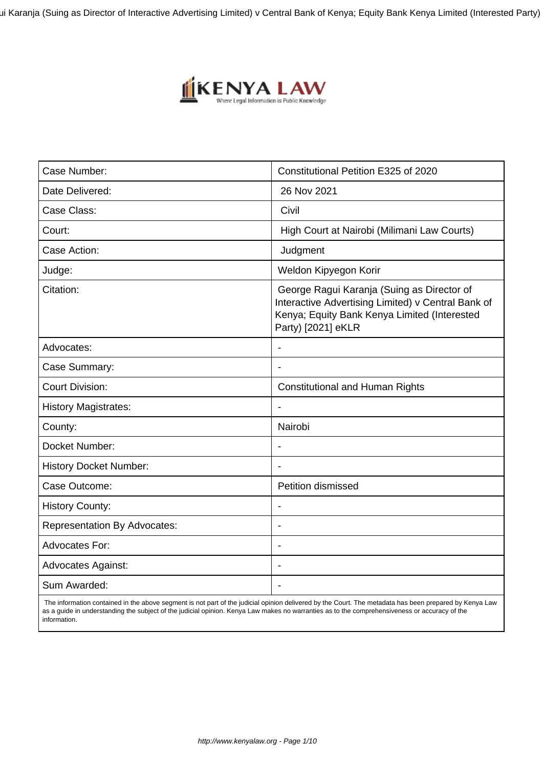ui Karanja (Suing as Director of Interactive Advertising Limited) v Central Bank of Kenya; Equity Bank Kenya Limited (Interested Party)



| Case Number:                        | Constitutional Petition E325 of 2020                                                                                                                                   |
|-------------------------------------|------------------------------------------------------------------------------------------------------------------------------------------------------------------------|
| Date Delivered:                     | 26 Nov 2021                                                                                                                                                            |
| Case Class:                         | Civil                                                                                                                                                                  |
| Court:                              | High Court at Nairobi (Milimani Law Courts)                                                                                                                            |
| Case Action:                        | Judgment                                                                                                                                                               |
| Judge:                              | Weldon Kipyegon Korir                                                                                                                                                  |
| Citation:                           | George Ragui Karanja (Suing as Director of<br>Interactive Advertising Limited) v Central Bank of<br>Kenya; Equity Bank Kenya Limited (Interested<br>Party) [2021] eKLR |
| Advocates:                          | $\blacksquare$                                                                                                                                                         |
| Case Summary:                       |                                                                                                                                                                        |
| <b>Court Division:</b>              | <b>Constitutional and Human Rights</b>                                                                                                                                 |
| <b>History Magistrates:</b>         | $\overline{\phantom{a}}$                                                                                                                                               |
| County:                             | Nairobi                                                                                                                                                                |
| Docket Number:                      |                                                                                                                                                                        |
| <b>History Docket Number:</b>       |                                                                                                                                                                        |
| Case Outcome:                       | <b>Petition dismissed</b>                                                                                                                                              |
| <b>History County:</b>              | $\blacksquare$                                                                                                                                                         |
| <b>Representation By Advocates:</b> | $\overline{\phantom{0}}$                                                                                                                                               |
| Advocates For:                      |                                                                                                                                                                        |
| <b>Advocates Against:</b>           | ÷                                                                                                                                                                      |
| Sum Awarded:                        |                                                                                                                                                                        |

 The information contained in the above segment is not part of the judicial opinion delivered by the Court. The metadata has been prepared by Kenya Law as a guide in understanding the subject of the judicial opinion. Kenya Law makes no warranties as to the comprehensiveness or accuracy of the information.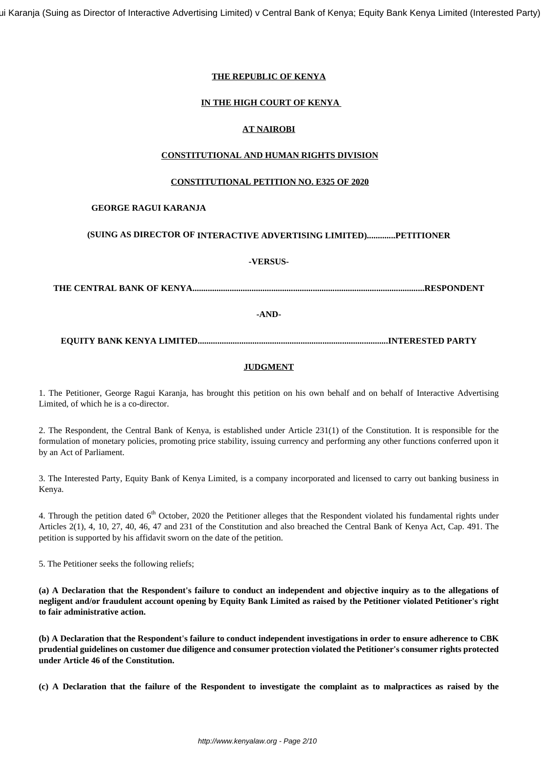ui Karanja (Suing as Director of Interactive Advertising Limited) v Central Bank of Kenya; Equity Bank Kenya Limited (Interested Party)

# **THE REPUBLIC OF KENYA**

# **IN THE HIGH COURT OF KENYA**

# **AT NAIROBI**

# **CONSTITUTIONAL AND HUMAN RIGHTS DIVISION**

# **CONSTITUTIONAL PETITION NO. E325 OF 2020**

# **GEORGE RAGUI KARANJA**

# **(SUING AS DIRECTOR OF INTERACTIVE ADVERTISING LIMITED).............PETITIONER**

## **-VERSUS-**

**THE CENTRAL BANK OF KENYA..........................................................................................................RESPONDENT**

**-AND-**

**EQUITY BANK KENYA LIMITED.......................................................................................INTERESTED PARTY**

# **JUDGMENT**

1. The Petitioner, George Ragui Karanja, has brought this petition on his own behalf and on behalf of Interactive Advertising Limited, of which he is a co-director.

2. The Respondent, the Central Bank of Kenya, is established under Article 231(1) of the Constitution. It is responsible for the formulation of monetary policies, promoting price stability, issuing currency and performing any other functions conferred upon it by an Act of Parliament.

3. The Interested Party, Equity Bank of Kenya Limited, is a company incorporated and licensed to carry out banking business in Kenya.

4. Through the petition dated  $6<sup>th</sup>$  October, 2020 the Petitioner alleges that the Respondent violated his fundamental rights under Articles 2(1), 4, 10, 27, 40, 46, 47 and 231 of the Constitution and also breached the Central Bank of Kenya Act, Cap. 491. The petition is supported by his affidavit sworn on the date of the petition.

5. The Petitioner seeks the following reliefs;

**(a) A Declaration that the Respondent's failure to conduct an independent and objective inquiry as to the allegations of negligent and/or fraudulent account opening by Equity Bank Limited as raised by the Petitioner violated Petitioner's right to fair administrative action.**

**(b) A Declaration that the Respondent's failure to conduct independent investigations in order to ensure adherence to CBK prudential guidelines on customer due diligence and consumer protection violated the Petitioner's consumer rights protected under Article 46 of the Constitution.**

**(c) A Declaration that the failure of the Respondent to investigate the complaint as to malpractices as raised by the**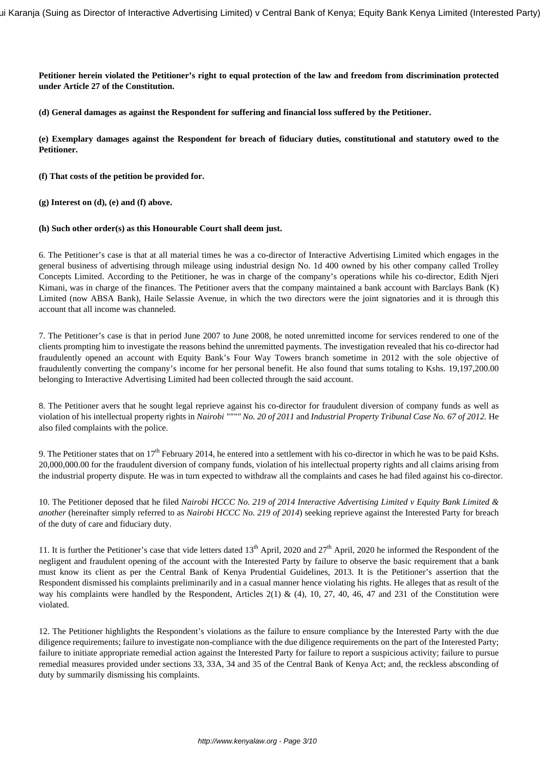**Petitioner herein violated the Petitioner's right to equal protection of the law and freedom from discrimination protected under Article 27 of the Constitution.**

**(d) General damages as against the Respondent for suffering and financial loss suffered by the Petitioner.** 

**(e) Exemplary damages against the Respondent for breach of fiduciary duties, constitutional and statutory owed to the Petitioner.**

**(f) That costs of the petition be provided for.**

**(g) Interest on (d), (e) and (f) above.**

#### **(h) Such other order(s) as this Honourable Court shall deem just.**

6. The Petitioner's case is that at all material times he was a co-director of Interactive Advertising Limited which engages in the general business of advertising through mileage using industrial design No. 1d 400 owned by his other company called Trolley Concepts Limited. According to the Petitioner, he was in charge of the company's operations while his co-director, Edith Njeri Kimani, was in charge of the finances. The Petitioner avers that the company maintained a bank account with Barclays Bank (K) Limited (now ABSA Bank), Haile Selassie Avenue, in which the two directors were the joint signatories and it is through this account that all income was channeled.

7. The Petitioner's case is that in period June 2007 to June 2008, he noted unremitted income for services rendered to one of the clients prompting him to investigate the reasons behind the unremitted payments. The investigation revealed that his co-director had fraudulently opened an account with Equity Bank's Four Way Towers branch sometime in 2012 with the sole objective of fraudulently converting the company's income for her personal benefit. He also found that sums totaling to Kshs. 19,197,200.00 belonging to Interactive Advertising Limited had been collected through the said account.

8. The Petitioner avers that he sought legal reprieve against his co-director for fraudulent diversion of company funds as well as violation of his intellectual property rights in *Nairobi """" No. 20 of 2011* and *Industrial Property Tribunal Case No. 67 of 2012.* He also filed complaints with the police.

9. The Petitioner states that on  $17<sup>th</sup>$  February 2014, he entered into a settlement with his co-director in which he was to be paid Kshs. 20,000,000.00 for the fraudulent diversion of company funds, violation of his intellectual property rights and all claims arising from the industrial property dispute. He was in turn expected to withdraw all the complaints and cases he had filed against his co-director.

10. The Petitioner deposed that he filed *Nairobi HCCC No. 219 of 2014 Interactive Advertising Limited v Equity Bank Limited & another* (hereinafter simply referred to as *Nairobi HCCC No. 219 of 2014*) seeking reprieve against the Interested Party for breach of the duty of care and fiduciary duty.

11. It is further the Petitioner's case that vide letters dated  $13<sup>th</sup>$  April, 2020 and  $27<sup>th</sup>$  April, 2020 he informed the Respondent of the negligent and fraudulent opening of the account with the Interested Party by failure to observe the basic requirement that a bank must know its client as per the Central Bank of Kenya Prudential Guidelines, 2013. It is the Petitioner's assertion that the Respondent dismissed his complaints preliminarily and in a casual manner hence violating his rights. He alleges that as result of the way his complaints were handled by the Respondent, Articles 2(1) & (4), 10, 27, 40, 46, 47 and 231 of the Constitution were violated.

12. The Petitioner highlights the Respondent's violations as the failure to ensure compliance by the Interested Party with the due diligence requirements; failure to investigate non-compliance with the due diligence requirements on the part of the Interested Party; failure to initiate appropriate remedial action against the Interested Party for failure to report a suspicious activity; failure to pursue remedial measures provided under sections 33, 33A, 34 and 35 of the Central Bank of Kenya Act; and, the reckless absconding of duty by summarily dismissing his complaints.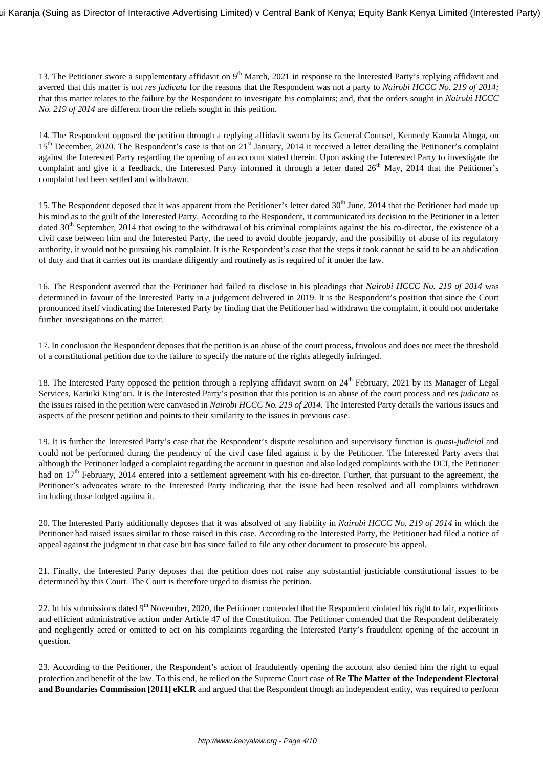13. The Petitioner swore a supplementary affidavit on 9<sup>th</sup> March, 2021 in response to the Interested Party's replying affidavit and averred that this matter is not *res judicata* for the reasons that the Respondent was not a party to *Nairobi HCCC No. 219 of 2014;* that this matter relates to the failure by the Respondent to investigate his complaints; and, that the orders sought in *Nairobi HCCC No. 219 of 2014* are different from the reliefs sought in this petition.

14. The Respondent opposed the petition through a replying affidavit sworn by its General Counsel, Kennedy Kaunda Abuga, on 15<sup>th</sup> December, 2020. The Respondent's case is that on 21<sup>st</sup> January, 2014 it received a letter detailing the Petitioner's complaint against the Interested Party regarding the opening of an account stated therein. Upon asking the Interested Party to investigate the complaint and give it a feedback, the Interested Party informed it through a letter dated  $26<sup>th</sup>$  May, 2014 that the Petitioner's complaint had been settled and withdrawn.

15. The Respondent deposed that it was apparent from the Petitioner's letter dated 30<sup>th</sup> June, 2014 that the Petitioner had made up his mind as to the guilt of the Interested Party. According to the Respondent, it communicated its decision to the Petitioner in a letter dated  $30<sup>th</sup>$  September, 2014 that owing to the withdrawal of his criminal complaints against the his co-director, the existence of a civil case between him and the Interested Party, the need to avoid double jeopardy, and the possibility of abuse of its regulatory authority, it would not be pursuing his complaint. It is the Respondent's case that the steps it took cannot be said to be an abdication of duty and that it carries out its mandate diligently and routinely as is required of it under the law.

16. The Respondent averred that the Petitioner had failed to disclose in his pleadings that *Nairobi HCCC No. 219 of 2014* was determined in favour of the Interested Party in a judgement delivered in 2019. It is the Respondent's position that since the Court pronounced itself vindicating the Interested Party by finding that the Petitioner had withdrawn the complaint, it could not undertake further investigations on the matter.

17. In conclusion the Respondent deposes that the petition is an abuse of the court process, frivolous and does not meet the threshold of a constitutional petition due to the failure to specify the nature of the rights allegedly infringed.

18. The Interested Party opposed the petition through a replying affidavit sworn on 24<sup>th</sup> February, 2021 by its Manager of Legal Services, Kariuki King'ori. It is the Interested Party's position that this petition is an abuse of the court process and *res judicata* as the issues raised in the petition were canvased in *Nairobi HCCC No. 219 of 2014.* The Interested Party details the various issues and aspects of the present petition and points to their similarity to the issues in previous case.

19. It is further the Interested Party's case that the Respondent's dispute resolution and supervisory function is *quasi-judicial* and could not be performed during the pendency of the civil case filed against it by the Petitioner. The Interested Party avers that although the Petitioner lodged a complaint regarding the account in question and also lodged complaints with the DCI, the Petitioner had on 17<sup>th</sup> February, 2014 entered into a settlement agreement with his co-director. Further, that pursuant to the agreement, the Petitioner's advocates wrote to the Interested Party indicating that the issue had been resolved and all complaints withdrawn including those lodged against it.

20. The Interested Party additionally deposes that it was absolved of any liability in *Nairobi HCCC No. 219 of 2014* in which the Petitioner had raised issues similar to those raised in this case. According to the Interested Party, the Petitioner had filed a notice of appeal against the judgment in that case but has since failed to file any other document to prosecute his appeal.

21. Finally, the Interested Party deposes that the petition does not raise any substantial justiciable constitutional issues to be determined by this Court. The Court is therefore urged to dismiss the petition.

22. In his submissions dated  $9<sup>th</sup>$  November, 2020, the Petitioner contended that the Respondent violated his right to fair, expeditious and efficient administrative action under Article 47 of the Constitution. The Petitioner contended that the Respondent deliberately and negligently acted or omitted to act on his complaints regarding the Interested Party's fraudulent opening of the account in question.

23. According to the Petitioner, the Respondent's action of fraudulently opening the account also denied him the right to equal protection and benefit of the law. To this end, he relied on the Supreme Court case of **Re The Matter of the Independent Electoral and Boundaries Commission [2011] eKLR** and argued that the Respondent though an independent entity, was required to perform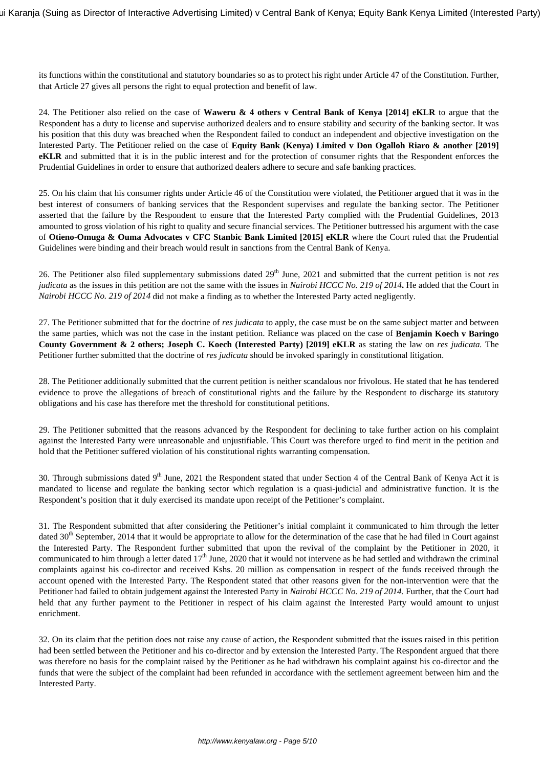its functions within the constitutional and statutory boundaries so as to protect his right under Article 47 of the Constitution. Further, that Article 27 gives all persons the right to equal protection and benefit of law.

24. The Petitioner also relied on the case of **Waweru & 4 others v Central Bank of Kenya [2014] eKLR** to argue that the Respondent has a duty to license and supervise authorized dealers and to ensure stability and security of the banking sector. It was his position that this duty was breached when the Respondent failed to conduct an independent and objective investigation on the Interested Party. The Petitioner relied on the case of **Equity Bank (Kenya) Limited v Don Ogalloh Riaro & another [2019] eKLR** and submitted that it is in the public interest and for the protection of consumer rights that the Respondent enforces the Prudential Guidelines in order to ensure that authorized dealers adhere to secure and safe banking practices.

25. On his claim that his consumer rights under Article 46 of the Constitution were violated, the Petitioner argued that it was in the best interest of consumers of banking services that the Respondent supervises and regulate the banking sector. The Petitioner asserted that the failure by the Respondent to ensure that the Interested Party complied with the Prudential Guidelines, 2013 amounted to gross violation of his right to quality and secure financial services. The Petitioner buttressed his argument with the case of **Otieno-Omuga & Ouma Advocates v CFC Stanbic Bank Limited [2015] eKLR** where the Court ruled that the Prudential Guidelines were binding and their breach would result in sanctions from the Central Bank of Kenya.

26. The Petitioner also filed supplementary submissions dated 29<sup>th</sup> June, 2021 and submitted that the current petition is not *res judicata* as the issues in this petition are not the same with the issues in *Nairobi HCCC No. 219 of 2014***.** He added that the Court in *Nairobi HCCC No. 219 of 2014* did not make a finding as to whether the Interested Party acted negligently.

27. The Petitioner submitted that for the doctrine of *res judicata* to apply, the case must be on the same subject matter and between the same parties, which was not the case in the instant petition. Reliance was placed on the case of **Benjamin Koech v Baringo County Government & 2 others; Joseph C. Koech (Interested Party) [2019] eKLR** as stating the law on *res judicata.* The Petitioner further submitted that the doctrine of *res judicata* should be invoked sparingly in constitutional litigation.

28. The Petitioner additionally submitted that the current petition is neither scandalous nor frivolous. He stated that he has tendered evidence to prove the allegations of breach of constitutional rights and the failure by the Respondent to discharge its statutory obligations and his case has therefore met the threshold for constitutional petitions.

29. The Petitioner submitted that the reasons advanced by the Respondent for declining to take further action on his complaint against the Interested Party were unreasonable and unjustifiable. This Court was therefore urged to find merit in the petition and hold that the Petitioner suffered violation of his constitutional rights warranting compensation.

30. Through submissions dated  $9<sup>th</sup>$  June, 2021 the Respondent stated that under Section 4 of the Central Bank of Kenya Act it is mandated to license and regulate the banking sector which regulation is a quasi-judicial and administrative function. It is the Respondent's position that it duly exercised its mandate upon receipt of the Petitioner's complaint.

31. The Respondent submitted that after considering the Petitioner's initial complaint it communicated to him through the letter dated  $30<sup>th</sup>$  September, 2014 that it would be appropriate to allow for the determination of the case that he had filed in Court against the Interested Party. The Respondent further submitted that upon the revival of the complaint by the Petitioner in 2020, it communicated to him through a letter dated  $17<sup>th</sup>$  June, 2020 that it would not intervene as he had settled and withdrawn the criminal complaints against his co-director and received Kshs. 20 million as compensation in respect of the funds received through the account opened with the Interested Party. The Respondent stated that other reasons given for the non-intervention were that the Petitioner had failed to obtain judgement against the Interested Party in *Nairobi HCCC No. 219 of 2014.* Further, that the Court had held that any further payment to the Petitioner in respect of his claim against the Interested Party would amount to unjust enrichment.

32. On its claim that the petition does not raise any cause of action, the Respondent submitted that the issues raised in this petition had been settled between the Petitioner and his co-director and by extension the Interested Party. The Respondent argued that there was therefore no basis for the complaint raised by the Petitioner as he had withdrawn his complaint against his co-director and the funds that were the subject of the complaint had been refunded in accordance with the settlement agreement between him and the Interested Party.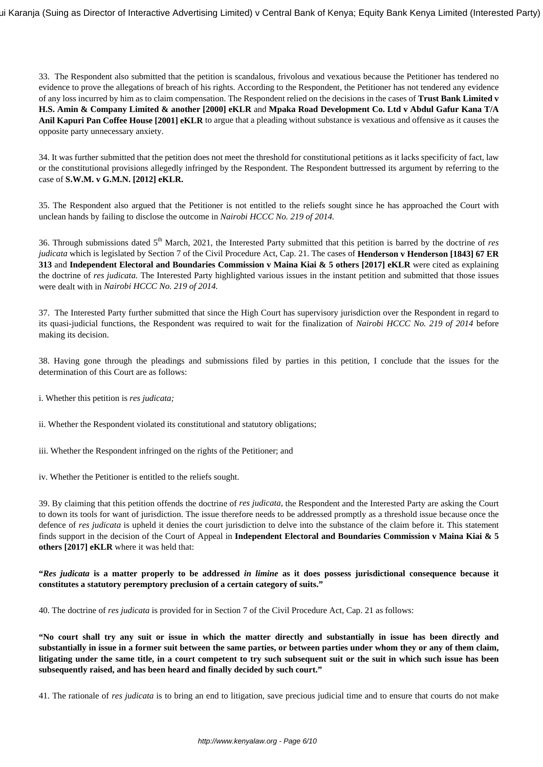33. The Respondent also submitted that the petition is scandalous, frivolous and vexatious because the Petitioner has tendered no evidence to prove the allegations of breach of his rights. According to the Respondent, the Petitioner has not tendered any evidence of any loss incurred by him as to claim compensation. The Respondent relied on the decisions in the cases of **Trust Bank Limited v H.S. Amin & Company Limited & another [2000] eKLR** and **Mpaka Road Development Co. Ltd v Abdul Gafur Kana T/A Anil Kapuri Pan Coffee House [2001] eKLR** to argue that a pleading without substance is vexatious and offensive as it causes the opposite party unnecessary anxiety.

34. It was further submitted that the petition does not meet the threshold for constitutional petitions as it lacks specificity of fact, law or the constitutional provisions allegedly infringed by the Respondent. The Respondent buttressed its argument by referring to the case of **S.W.M. v G.M.N. [2012] eKLR.**

35. The Respondent also argued that the Petitioner is not entitled to the reliefs sought since he has approached the Court with unclean hands by failing to disclose the outcome in *Nairobi HCCC No. 219 of 2014.* 

36. Through submissions dated 5th March, 2021, the Interested Party submitted that this petition is barred by the doctrine of *res judicata* which is legislated by Section 7 of the Civil Procedure Act, Cap. 21. The cases of **Henderson v Henderson [1843] 67 ER 313** and **Independent Electoral and Boundaries Commission v Maina Kiai & 5 others [2017] eKLR** were cited as explaining the doctrine of *res judicata.* The Interested Party highlighted various issues in the instant petition and submitted that those issues were dealt with in *Nairobi HCCC No. 219 of 2014.* 

37. The Interested Party further submitted that since the High Court has supervisory jurisdiction over the Respondent in regard to its quasi-judicial functions, the Respondent was required to wait for the finalization of *Nairobi HCCC No. 219 of 2014* before making its decision.

38. Having gone through the pleadings and submissions filed by parties in this petition, I conclude that the issues for the determination of this Court are as follows:

- i. Whether this petition is *res judicata;*
- ii. Whether the Respondent violated its constitutional and statutory obligations;
- iii. Whether the Respondent infringed on the rights of the Petitioner; and

iv. Whether the Petitioner is entitled to the reliefs sought.

39. By claiming that this petition offends the doctrine of *res judicata,* the Respondent and the Interested Party are asking the Court to down its tools for want of jurisdiction. The issue therefore needs to be addressed promptly as a threshold issue because once the defence of *res judicata* is upheld it denies the court jurisdiction to delve into the substance of the claim before it. This statement finds support in the decision of the Court of Appeal in **Independent Electoral and Boundaries Commission v Maina Kiai & 5 others [2017] eKLR** where it was held that:

## **"***Res judicata* **is a matter properly to be addressed** *in limine* **as it does possess jurisdictional consequence because it constitutes a statutory peremptory preclusion of a certain category of suits."**

40. The doctrine of *res judicata* is provided for in Section 7 of the Civil Procedure Act, Cap. 21 as follows:

**"No court shall try any suit or issue in which the matter directly and substantially in issue has been directly and substantially in issue in a former suit between the same parties, or between parties under whom they or any of them claim, litigating under the same title, in a court competent to try such subsequent suit or the suit in which such issue has been subsequently raised, and has been heard and finally decided by such court."**

41. The rationale of *res judicata* is to bring an end to litigation, save precious judicial time and to ensure that courts do not make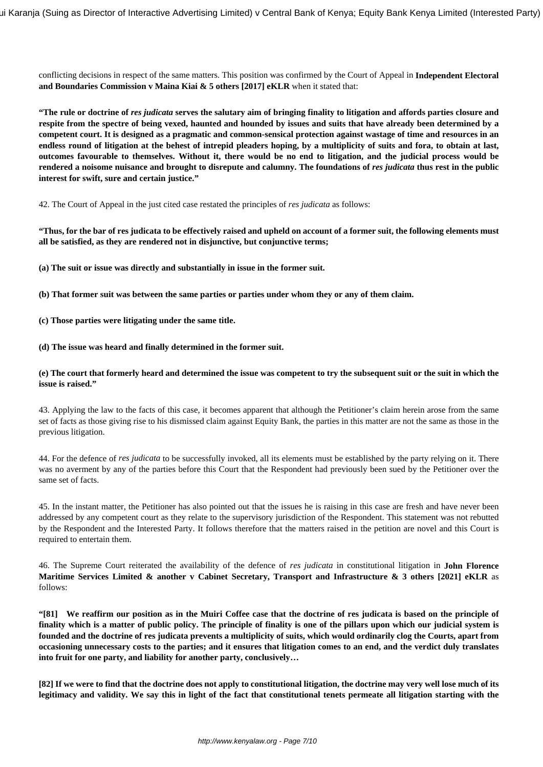conflicting decisions in respect of the same matters. This position was confirmed by the Court of Appeal in **Independent Electoral and Boundaries Commission v Maina Kiai & 5 others [2017] eKLR** when it stated that:

**"The rule or doctrine of** *res judicata* **serves the salutary aim of bringing finality to litigation and affords parties closure and respite from the spectre of being vexed, haunted and hounded by issues and suits that have already been determined by a competent court. It is designed as a pragmatic and common-sensical protection against wastage of time and resources in an endless round of litigation at the behest of intrepid pleaders hoping, by a multiplicity of suits and fora, to obtain at last, outcomes favourable to themselves. Without it, there would be no end to litigation, and the judicial process would be** rendered a noisome nuisance and brought to disrepute and calumny. The foundations of *res judicata* thus rest in the public **interest for swift, sure and certain justice."**

42. The Court of Appeal in the just cited case restated the principles of *res judicata* as follows:

**"Thus, for the bar of res judicata to be effectively raised and upheld on account of a former suit, the following elements must all be satisfied, as they are rendered not in disjunctive, but conjunctive terms;**

**(a) The suit or issue was directly and substantially in issue in the former suit.**

**(b) That former suit was between the same parties or parties under whom they or any of them claim.**

- **(c) Those parties were litigating under the same title.**
- **(d) The issue was heard and finally determined in the former suit.**

## **(e) The court that formerly heard and determined the issue was competent to try the subsequent suit or the suit in which the issue is raised."**

43. Applying the law to the facts of this case, it becomes apparent that although the Petitioner's claim herein arose from the same set of facts as those giving rise to his dismissed claim against Equity Bank, the parties in this matter are not the same as those in the previous litigation.

44. For the defence of *res judicata* to be successfully invoked, all its elements must be established by the party relying on it. There was no averment by any of the parties before this Court that the Respondent had previously been sued by the Petitioner over the same set of facts.

45. In the instant matter, the Petitioner has also pointed out that the issues he is raising in this case are fresh and have never been addressed by any competent court as they relate to the supervisory jurisdiction of the Respondent. This statement was not rebutted by the Respondent and the Interested Party. It follows therefore that the matters raised in the petition are novel and this Court is required to entertain them.

46. The Supreme Court reiterated the availability of the defence of *res judicata* in constitutional litigation in **John Florence Maritime Services Limited & another v Cabinet Secretary, Transport and Infrastructure & 3 others [2021] eKLR** as follows:

**"[81] We reaffirm our position as in the Muiri Coffee case that the doctrine of res judicata is based on the principle of finality which is a matter of public policy. The principle of finality is one of the pillars upon which our judicial system is founded and the doctrine of res judicata prevents a multiplicity of suits, which would ordinarily clog the Courts, apart from occasioning unnecessary costs to the parties; and it ensures that litigation comes to an end, and the verdict duly translates into fruit for one party, and liability for another party, conclusively…**

**[82] If we were to find that the doctrine does not apply to constitutional litigation, the doctrine may very well lose much of its legitimacy and validity. We say this in light of the fact that constitutional tenets permeate all litigation starting with the**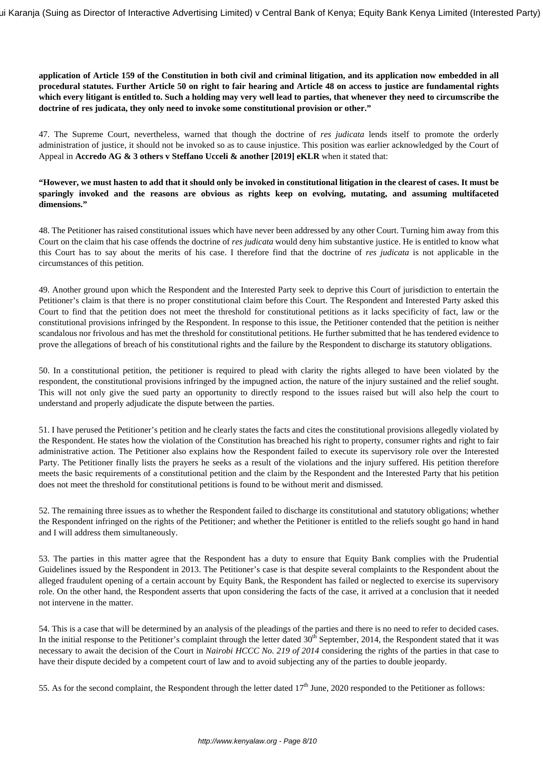## **application of Article 159 of the Constitution in both civil and criminal litigation, and its application now embedded in all procedural statutes. Further Article 50 on right to fair hearing and Article 48 on access to justice are fundamental rights which every litigant is entitled to. Such a holding may very well lead to parties, that whenever they need to circumscribe the doctrine of res judicata, they only need to invoke some constitutional provision or other."**

47. The Supreme Court, nevertheless, warned that though the doctrine of *res judicata* lends itself to promote the orderly administration of justice, it should not be invoked so as to cause injustice. This position was earlier acknowledged by the Court of Appeal in **Accredo AG & 3 others v Steffano Ucceli & another [2019] eKLR** when it stated that:

# **"However, we must hasten to add that it should only be invoked in constitutional litigation in the clearest of cases. It must be sparingly invoked and the reasons are obvious as rights keep on evolving, mutating, and assuming multifaceted dimensions."**

48. The Petitioner has raised constitutional issues which have never been addressed by any other Court. Turning him away from this Court on the claim that his case offends the doctrine of *res judicata* would deny him substantive justice. He is entitled to know what this Court has to say about the merits of his case. I therefore find that the doctrine of *res judicata* is not applicable in the circumstances of this petition.

49. Another ground upon which the Respondent and the Interested Party seek to deprive this Court of jurisdiction to entertain the Petitioner's claim is that there is no proper constitutional claim before this Court. The Respondent and Interested Party asked this Court to find that the petition does not meet the threshold for constitutional petitions as it lacks specificity of fact, law or the constitutional provisions infringed by the Respondent. In response to this issue, the Petitioner contended that the petition is neither scandalous nor frivolous and has met the threshold for constitutional petitions. He further submitted that he has tendered evidence to prove the allegations of breach of his constitutional rights and the failure by the Respondent to discharge its statutory obligations.

50. In a constitutional petition, the petitioner is required to plead with clarity the rights alleged to have been violated by the respondent, the constitutional provisions infringed by the impugned action, the nature of the injury sustained and the relief sought. This will not only give the sued party an opportunity to directly respond to the issues raised but will also help the court to understand and properly adjudicate the dispute between the parties.

51. I have perused the Petitioner's petition and he clearly states the facts and cites the constitutional provisions allegedly violated by the Respondent. He states how the violation of the Constitution has breached his right to property, consumer rights and right to fair administrative action. The Petitioner also explains how the Respondent failed to execute its supervisory role over the Interested Party. The Petitioner finally lists the prayers he seeks as a result of the violations and the injury suffered. His petition therefore meets the basic requirements of a constitutional petition and the claim by the Respondent and the Interested Party that his petition does not meet the threshold for constitutional petitions is found to be without merit and dismissed.

52. The remaining three issues as to whether the Respondent failed to discharge its constitutional and statutory obligations; whether the Respondent infringed on the rights of the Petitioner; and whether the Petitioner is entitled to the reliefs sought go hand in hand and I will address them simultaneously.

53. The parties in this matter agree that the Respondent has a duty to ensure that Equity Bank complies with the Prudential Guidelines issued by the Respondent in 2013. The Petitioner's case is that despite several complaints to the Respondent about the alleged fraudulent opening of a certain account by Equity Bank, the Respondent has failed or neglected to exercise its supervisory role. On the other hand, the Respondent asserts that upon considering the facts of the case, it arrived at a conclusion that it needed not intervene in the matter.

54. This is a case that will be determined by an analysis of the pleadings of the parties and there is no need to refer to decided cases. In the initial response to the Petitioner's complaint through the letter dated 30<sup>th</sup> September, 2014, the Respondent stated that it was necessary to await the decision of the Court in *Nairobi HCCC No. 219 of 2014* considering the rights of the parties in that case to have their dispute decided by a competent court of law and to avoid subjecting any of the parties to double jeopardy.

55. As for the second complaint, the Respondent through the letter dated  $17<sup>th</sup>$  June, 2020 responded to the Petitioner as follows: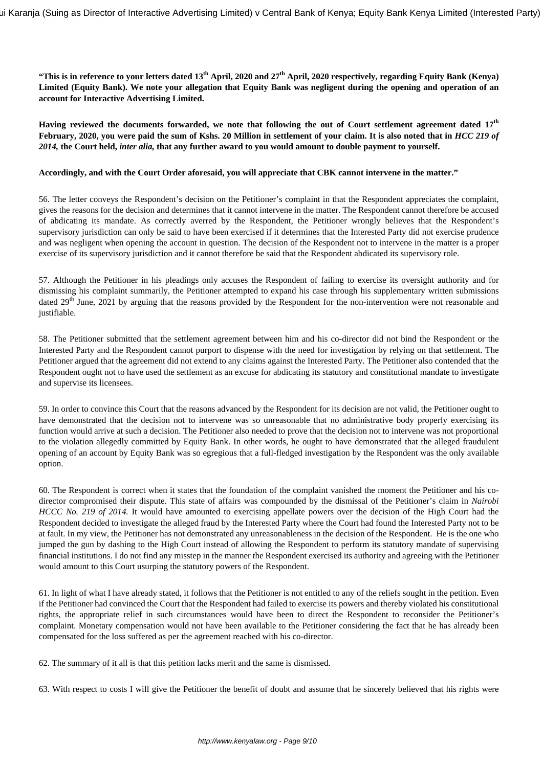**"This is in reference to your letters dated 13th April, 2020 and 27th April, 2020 respectively, regarding Equity Bank (Kenya) Limited (Equity Bank). We note your allegation that Equity Bank was negligent during the opening and operation of an account for Interactive Advertising Limited.**

**Having reviewed the documents forwarded, we note that following the out of Court settlement agreement dated 17th February, 2020, you were paid the sum of Kshs. 20 Million in settlement of your claim. It is also noted that in** *HCC 219 of 2014,* **the Court held,** *inter alia,* **that any further award to you would amount to double payment to yourself.**

#### **Accordingly, and with the Court Order aforesaid, you will appreciate that CBK cannot intervene in the matter."**

56. The letter conveys the Respondent's decision on the Petitioner's complaint in that the Respondent appreciates the complaint, gives the reasons for the decision and determines that it cannot intervene in the matter. The Respondent cannot therefore be accused of abdicating its mandate. As correctly averred by the Respondent, the Petitioner wrongly believes that the Respondent's supervisory jurisdiction can only be said to have been exercised if it determines that the Interested Party did not exercise prudence and was negligent when opening the account in question. The decision of the Respondent not to intervene in the matter is a proper exercise of its supervisory jurisdiction and it cannot therefore be said that the Respondent abdicated its supervisory role.

57. Although the Petitioner in his pleadings only accuses the Respondent of failing to exercise its oversight authority and for dismissing his complaint summarily, the Petitioner attempted to expand his case through his supplementary written submissions dated 29<sup>th</sup> June, 2021 by arguing that the reasons provided by the Respondent for the non-intervention were not reasonable and justifiable.

58. The Petitioner submitted that the settlement agreement between him and his co-director did not bind the Respondent or the Interested Party and the Respondent cannot purport to dispense with the need for investigation by relying on that settlement. The Petitioner argued that the agreement did not extend to any claims against the Interested Party. The Petitioner also contended that the Respondent ought not to have used the settlement as an excuse for abdicating its statutory and constitutional mandate to investigate and supervise its licensees.

59. In order to convince this Court that the reasons advanced by the Respondent for its decision are not valid, the Petitioner ought to have demonstrated that the decision not to intervene was so unreasonable that no administrative body properly exercising its function would arrive at such a decision. The Petitioner also needed to prove that the decision not to intervene was not proportional to the violation allegedly committed by Equity Bank. In other words, he ought to have demonstrated that the alleged fraudulent opening of an account by Equity Bank was so egregious that a full-fledged investigation by the Respondent was the only available option.

60. The Respondent is correct when it states that the foundation of the complaint vanished the moment the Petitioner and his codirector compromised their dispute. This state of affairs was compounded by the dismissal of the Petitioner's claim in *Nairobi HCCC No. 219 of 2014*. It would have amounted to exercising appellate powers over the decision of the High Court had the Respondent decided to investigate the alleged fraud by the Interested Party where the Court had found the Interested Party not to be at fault. In my view, the Petitioner has not demonstrated any unreasonableness in the decision of the Respondent. He is the one who jumped the gun by dashing to the High Court instead of allowing the Respondent to perform its statutory mandate of supervising financial institutions. I do not find any misstep in the manner the Respondent exercised its authority and agreeing with the Petitioner would amount to this Court usurping the statutory powers of the Respondent.

61. In light of what I have already stated, it follows that the Petitioner is not entitled to any of the reliefs sought in the petition. Even if the Petitioner had convinced the Court that the Respondent had failed to exercise its powers and thereby violated his constitutional rights, the appropriate relief in such circumstances would have been to direct the Respondent to reconsider the Petitioner's complaint. Monetary compensation would not have been available to the Petitioner considering the fact that he has already been compensated for the loss suffered as per the agreement reached with his co-director.

62. The summary of it all is that this petition lacks merit and the same is dismissed.

63. With respect to costs I will give the Petitioner the benefit of doubt and assume that he sincerely believed that his rights were